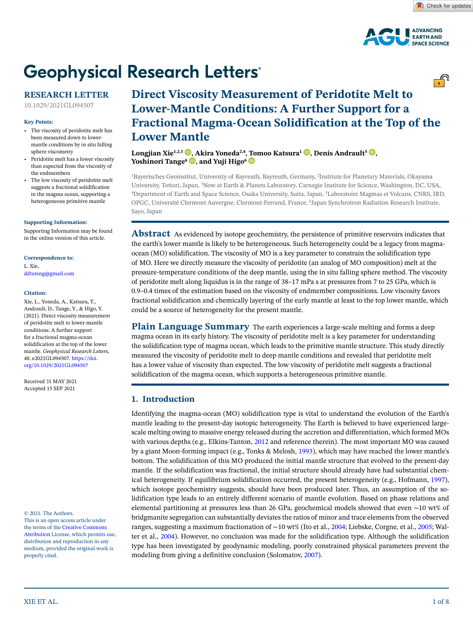

# **Geophysical Research Letters®**

### **RESEARCH LETTER**

10.1029/2021GL094507

#### **Key Points:**

- The viscosity of peridotite melt has been measured down to lowermantle conditions by in situ falling sphere viscometry
- Peridotite melt has a lower viscosity than expected from the viscosity of the endmembers
- The low viscosity of peridotite melt suggests a fractional solidification in the magma ocean, supporting a heterogeneous primitive mantle

#### **[Supporting Information:](https://doi.org/10.1029/2021GL094507)**

[Supporting Information may be found](https://doi.org/10.1029/2021GL094507)  [in the online version of this article.](https://doi.org/10.1029/2021GL094507)

#### **Correspondence to:**

L. Xie, ddtuteng@gmail.com

#### **Citation:**

Xie, L., Yoneda, A., Katsura, T., Andrault, D., Tange, Y., & Higo, Y. (2021). Direct viscosity measurement of peridotite melt to lower-mantle conditions: A further support for a fractional magma-ocean solidification at the top of the lower mantle. *Geophysical Research Letters*, *48*, e2021GL094507. [https://doi.](https://doi.org/10.1029/2021GL094507) [org/10.1029/2021GL094507](https://doi.org/10.1029/2021GL094507)

Received 31 MAY 2021 Accepted 15 SEP 2021

© 2021. The Authors.

This is an open access article under the terms of the [Creative Commons](http://creativecommons.org/licenses/by/4.0/)  [Attribution](http://creativecommons.org/licenses/by/4.0/) License, which permits use, distribution and reproduction in any medium, provided the original work is properly cited.

# **Direct Viscosity Measurement of Peridotite Melt to Lower-Mantle Conditions: A Further Support for a Fractional Magma-Ocean Solidification at the Top of the Lower Mantle**

**Longjian Xie<sup>1[,](https://orcid.org/0000-0002-9921-4572)2,3</sup> <b>D**, Akira Yoneda<sup>2,4</sup>[, To](https://orcid.org/0000-0002-4221-8783)moo Katsura<sup>1</sup> **D**, Denis Andrault<sup>5</sup> **D**, Yoshinori Tange<sup>6</sup> **D**[,](https://orcid.org/0000-0001-9579-0786) and Yuji Higo<sup>6</sup> **D** 

1 Bayerisches Geoinstitut, University of Bayreuth, Bayreuth, Germany, 2 Institute for Planetary Materials, Okayama University, Tottori, Japan, 3 Now at Earth & Planets Laboratory, Carnegie Institute for Science, Washington, DC, USA, 4 Department of Earth and Space Science, Osaka University, Suita, Japan, 5 Laboratoire Magmas et Volcans, CNRS, IRD, OPGC, Université Clermont Auvergne, Clermont-Ferrand, France, 6 Japan Synchrotron Radiation Research Institute, Sayo, Japan

**Abstract** As evidenced by isotope geochemistry, the persistence of primitive reservoirs indicates that the earth's lower mantle is likely to be heterogeneous. Such heterogeneity could be a legacy from magmaocean (MO) solidification. The viscosity of MO is a key parameter to constrain the solidification type of MO. Here we directly measure the viscosity of peridotite (an analog of MO composition) melt at the pressure-temperature conditions of the deep mantle, using the in situ falling sphere method. The viscosity of peridotite melt along liquidus is in the range of 38–17 mPa s at pressures from 7 to 25 GPa, which is 0.9–0.4 times of the estimation based on the viscosity of endmember compositions. Low viscosity favors fractional solidification and chemically layering of the early mantle at least to the top lower mantle, which could be a source of heterogeneity for the present mantle.

**Plain Language Summary** The earth experiences a large-scale melting and forms a deep magma ocean in its early history. The viscosity of peridotite melt is a key parameter for understanding the solidification type of magma ocean, which leads to the primitive mantle structure. This study directly measured the viscosity of peridotite melt to deep mantle conditions and revealed that peridotite melt has a lower value of viscosity than expected. The low viscosity of peridotite melt suggests a fractional solidification of the magma ocean, which supports a heterogeneous primitive mantle.

#### **1. Introduction**

Identifying the magma-ocean (MO) solidification type is vital to understand the evolution of the Earth's mantle leading to the present-day isotopic heterogeneity. The Earth is believed to have experienced largescale melting owing to massive energy released during the accretion and differentiation, which formed MOs with various depths (e.g., Elkins-Tanton, [2012](#page-6-0) and reference therein). The most important MO was caused by a giant Moon-forming impact (e.g., Tonks & Melosh, [1993](#page-7-0)), which may have reached the lower mantle's bottom. The solidification of this MO produced the initial mantle structure that evolved to the present-day mantle. If the solidification was fractional, the initial structure should already have had substantial chemical heterogeneity. If equilibrium solidification occurred, the present heterogeneity (e.g., Hofmann, [1997](#page-6-1)), which isotope geochemistry suggests, should have been produced later. Thus, an assumption of the solidification type leads to an entirely different scenario of mantle evolution. Based on phase relations and elemental partitioning at pressures less than 26 GPa, geochemical models showed that even ∼10 wt% of bridgmanite segregation can substantially deviates the ratios of minor and trace elements from the observed ranges, suggesting a maximum fractionation of ∼10 wt% (Ito et al., [2004;](#page-6-2) Liebske, Corgne, et al., [2005;](#page-7-1) Walter et al., [2004\)](#page-7-2). However, no conclusion was made for the solidification type. Although the solidification type has been investigated by geodynamic modeling, poorly constrained physical parameters prevent the modeling from giving a definitive conclusion (Solomatov, [2007](#page-7-3)).

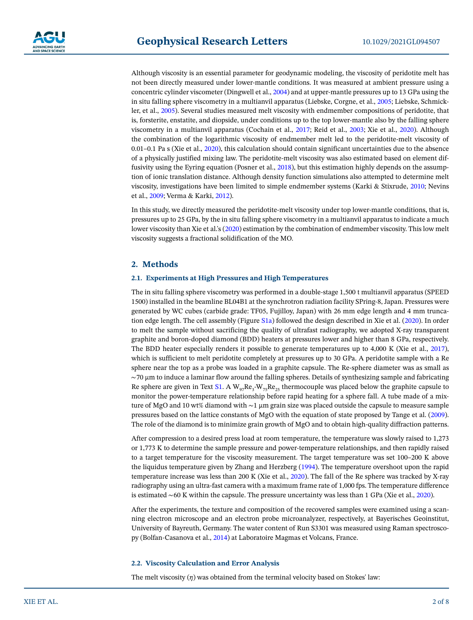Although viscosity is an essential parameter for geodynamic modeling, the viscosity of peridotite melt has not been directly measured under lower-mantle conditions. It was measured at ambient pressure using a concentric cylinder viscometer (Dingwell et al., [2004\)](#page-6-3) and at upper-mantle pressures up to 13 GPa using the in situ falling sphere viscometry in a multianvil apparatus (Liebske, Corgne, et al., [2005](#page-7-1); Liebske, Schmickler, et al., [2005](#page-7-4)). Several studies measured melt viscosity with endmember compositions of peridotite, that is, forsterite, enstatite, and diopside, under conditions up to the top lower-mantle also by the falling sphere viscometry in a multianvil apparatus (Cochain et al., [2017;](#page-6-4) Reid et al., [2003](#page-7-5); Xie et al., [2020\)](#page-7-6). Although the combination of the logarithmic viscosity of endmember melt led to the peridotite-melt viscosity of 0.01–0.1 Pa s (Xie et al., [2020](#page-7-6)), this calculation should contain significant uncertainties due to the absence of a physically justified mixing law. The peridotite-melt viscosity was also estimated based on element diffusivity using the Eyring equation (Posner et al., [2018](#page-7-7)), but this estimation highly depends on the assumption of ionic translation distance. Although density function simulations also attempted to determine melt viscosity, investigations have been limited to simple endmember systems (Karki & Stixrude, [2010](#page-7-8); Nevins et al., [2009;](#page-7-9) Verma & Karki, [2012\)](#page-7-10).

In this study, we directly measured the peridotite-melt viscosity under top lower-mantle conditions, that is, pressures up to 25 GPa, by the in situ falling sphere viscometry in a multianvil apparatus to indicate a much lower viscosity than Xie et al.'s ([2020\)](#page-7-6) estimation by the combination of endmember viscosity. This low melt viscosity suggests a fractional solidification of the MO.

#### **2. Methods**

#### **2.1. Experiments at High Pressures and High Temperatures**

The in situ falling sphere viscometry was performed in a double-stage 1,500 t multianvil apparatus (SPEED 1500) installed in the beamline BL04B1 at the synchrotron radiation facility SPring-8, Japan. Pressures were generated by WC cubes (carbide grade: TF05, Fujilloy, Japan) with 26 mm edge length and 4 mm truncation edge length. The cell assembly (Figure S1a) followed the design described in Xie et al. [\(2020](#page-7-6)). In order to melt the sample without sacrificing the quality of ultrafast radiography, we adopted X-ray transparent graphite and boron-doped diamond (BDD) heaters at pressures lower and higher than 8 GPa, respectively. The BDD heater especially renders it possible to generate temperatures up to 4,000 K (Xie et al., [2017](#page-7-11)), which is sufficient to melt peridotite completely at pressures up to 30 GPa. A peridotite sample with a Re sphere near the top as a probe was loaded in a graphite capsule. The Re-sphere diameter was as small as ∼70 μm to induce a laminar flow around the falling spheres. Details of synthesizing sample and fabricating Re sphere are given in Text S1. A  $\rm W_{97}Re_3-W_{75}Re_{25}$  thermocouple was placed below the graphite capsule to monitor the power-temperature relationship before rapid heating for a sphere fall. A tube made of a mixture of MgO and 10 wt% diamond with ∼1 μm grain size was placed outside the capsule to measure sample pressures based on the lattice constants of MgO with the equation of state proposed by Tange et al. [\(2009](#page-7-12)). The role of the diamond is to minimize grain growth of MgO and to obtain high-quality diffraction patterns.

After compression to a desired press load at room temperature, the temperature was slowly raised to 1,273 or 1,773 K to determine the sample pressure and power-temperature relationships, and then rapidly raised to a target temperature for the viscosity measurement. The target temperature was set 100–200 K above the liquidus temperature given by Zhang and Herzberg ([1994\)](#page-7-13). The temperature overshoot upon the rapid temperature increase was less than 200 K (Xie et al., [2020](#page-7-6)). The fall of the Re sphere was tracked by X-ray radiography using an ultra-fast camera with a maximum frame rate of 1,000 fps. The temperature difference is estimated ∼60 K within the capsule. The pressure uncertainty was less than 1 GPa (Xie et al., [2020](#page-7-6)).

After the experiments, the texture and composition of the recovered samples were examined using a scanning electron microscope and an electron probe microanalyzer, respectively, at Bayerisches Geoinstitut, University of Bayreuth, Germany. The water content of Run S3301 was measured using Raman spectroscopy (Bolfan-Casanova et al., [2014\)](#page-6-5) at Laboratoire Magmas et Volcans, France.

#### **2.2. Viscosity Calculation and Error Analysis**

The melt viscosity (*η*) was obtained from the terminal velocity based on Stokes' law: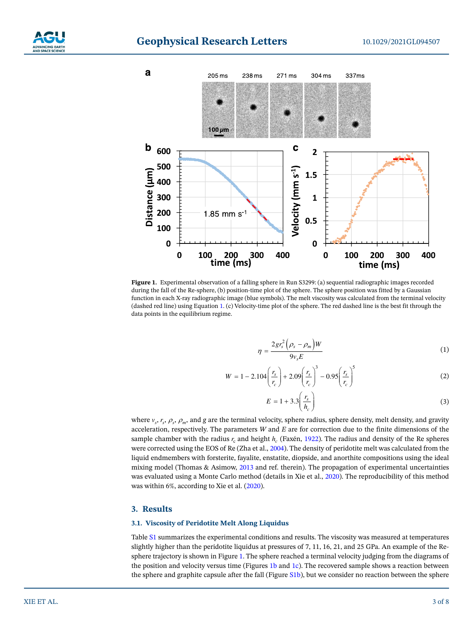

# **Geophysical Research Letters**



<span id="page-2-1"></span><span id="page-2-0"></span>**Figure 1.** Experimental observation of a falling sphere in Run S3299: (a) sequential radiographic images recorded during the fall of the Re-sphere, (b) position-time plot of the sphere. The sphere position was fitted by a Gaussian function in each X-ray radiographic image (blue symbols). The melt viscosity was calculated from the terminal velocity (dashed red line) using Equation [1](#page-2-1). (c) Velocity-time plot of the sphere. The red dashed line is the best fit through the data points in the equilibrium regime.

$$
\eta = \frac{2gr_s^2 \left(\rho_s - \rho_m\right)W}{9v_s E} \tag{1}
$$

$$
W = 1 - 2.104 \left(\frac{r_s}{r_c}\right) + 2.09 \left(\frac{r_s}{r_c}\right)^3 - 0.95 \left(\frac{r_s}{r_c}\right)^5 \tag{2}
$$

$$
E = 1 + 3.3 \left(\frac{r_s}{h_c}\right) \tag{3}
$$

where  $v_s$ ,  $r_s$ ,  $\rho_s$ ,  $\rho_m$ , and *g* are the terminal velocity, sphere radius, sphere density, melt density, and gravity acceleration, respectively. The parameters *W* and *E* are for correction due to the finite dimensions of the sample chamber with the radius  $r_c$  and height  $h_c$  (Faxén, [1922\)](#page-6-6). The radius and density of the Re spheres were corrected using the EOS of Re (Zha et al., [2004\)](#page-7-14). The density of peridotite melt was calculated from the liquid endmembers with forsterite, fayalite, enstatite, diopside, and anorthite compositions using the ideal mixing model (Thomas & Asimow, [2013](#page-7-15) and ref. therein). The propagation of experimental uncertainties was evaluated using a Monte Carlo method (details in Xie et al., [2020](#page-7-6)). The reproducibility of this method was within 6%, according to Xie et al. [\(2020](#page-7-6)).

#### **3. Results**

#### **3.1. Viscosity of Peridotite Melt Along Liquidus**

Table S1 summarizes the experimental conditions and results. The viscosity was measured at temperatures slightly higher than the peridotite liquidus at pressures of 7, 11, 16, 21, and 25 GPa. An example of the Resphere trajectory is shown in Figure [1.](#page-2-0) The sphere reached a terminal velocity judging from the diagrams of the position and velocity versus time (Figures [1b](#page-2-0) and [1c\)](#page-2-0). The recovered sample shows a reaction between the sphere and graphite capsule after the fall (Figure S1b), but we consider no reaction between the sphere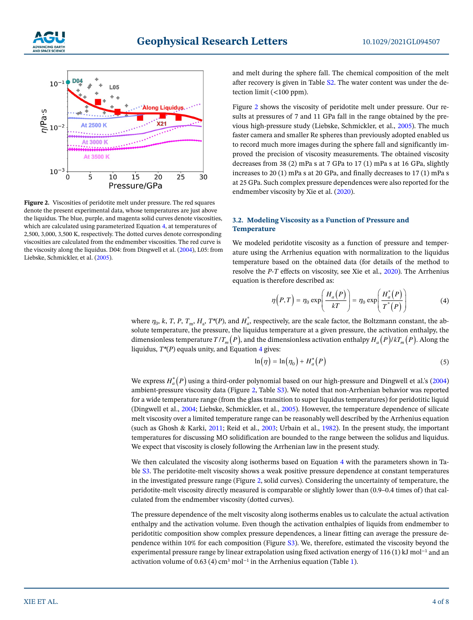



<span id="page-3-0"></span>**Figure 2.** Viscosities of peridotite melt under pressure. The red squares denote the present experimental data, whose temperatures are just above the liquidus. The blue, purple, and magenta solid curves denote viscosities, which are calculated using parameterized Equation [4](#page-3-1), at temperatures of 2,500, 3,000, 3,500 K, respectively. The dotted curves denote corresponding viscosities are calculated from the endmember viscosities. The red curve is the viscosity along the liquidus. D04: from Dingwell et al. [\(2004](#page-6-3)), L05: from Liebske, Schmickler, et al. ([2005\)](#page-7-4).

and melt during the sphere fall. The chemical composition of the melt after recovery is given in Table S2. The water content was under the detection limit (<100 ppm).

Figure [2](#page-3-0) shows the viscosity of peridotite melt under pressure. Our results at pressures of 7 and 11 GPa fall in the range obtained by the previous high-pressure study (Liebske, Schmickler, et al., [2005](#page-7-4)). The much faster camera and smaller Re spheres than previously adopted enabled us to record much more images during the sphere fall and significantly improved the precision of viscosity measurements. The obtained viscosity decreases from 38 (2) mPa s at 7 GPa to 17 (1) mPa s at 16 GPa, slightly increases to 20 (1) mPa s at 20 GPa, and finally decreases to 17 (1) mPa s at 25 GPa. Such complex pressure dependences were also reported for the endmember viscosity by Xie et al. ([2020\)](#page-7-6).

#### **3.2. Modeling Viscosity as a Function of Pressure and Temperature**

We modeled peridotite viscosity as a function of pressure and temperature using the Arrhenius equation with normalization to the liquidus temperature based on the obtained data (for details of the method to resolve the *P*-*T* effects on viscosity, see Xie et al., [2020\)](#page-7-6). The Arrhenius equation is therefore described as:

$$
\eta(P,T) = \eta_0 \exp\left(\frac{H_a(P)}{kT}\right) = \eta_0 \exp\left(\frac{H_a^*(P)}{T^*(P)}\right) \tag{4}
$$

<span id="page-3-1"></span>where  $\eta_0$ , *k*, *T*, *P*,  $T_m$ ,  $H_a$ ,  $T^*(P)$ , and  $H_a^*$ , respectively, are the scale factor, the Boltzmann constant, the absolute temperature, the pressure, the liquidus temperature at a given pressure, the activation enthalpy, the dimensionless temperature  $T/T_m(P)$ , and the dimensionless activation enthalpy  $H_a(P)/kT_m(P)$ . Along the liquidus, *T\**(*P*) equals unity, and Equation [4](#page-3-1) gives:

$$
\ln(\eta) = \ln(\eta_0) + H_a^*(P) \tag{5}
$$

We express  $H_a^*(P)$  using a third-order polynomial based on our high-pressure and Dingwell et al.'s ([2004](#page-6-3)) ambient-pressure viscosity data (Figure [2,](#page-3-0) Table S3). We noted that non-Arrhenian behavior was reported for a wide temperature range (from the glass transition to super liquidus temperatures) for peridotitic liquid (Dingwell et al., [2004;](#page-6-3) Liebske, Schmickler, et al., [2005\)](#page-7-4). However, the temperature dependence of silicate melt viscosity over a limited temperature range can be reasonably well described by the Arrhenius equation (such as Ghosh & Karki, [2011](#page-6-7); Reid et al., [2003](#page-7-5); Urbain et al., [1982](#page-7-16)). In the present study, the important temperatures for discussing MO solidification are bounded to the range between the solidus and liquidus. We expect that viscosity is closely following the Arrhenian law in the present study.

We then calculated the viscosity along isotherms based on Equation [4](#page-3-1) with the parameters shown in Table S3. The peridotite-melt viscosity shows a weak positive pressure dependence at constant temperatures in the investigated pressure range (Figure [2](#page-3-0), solid curves). Considering the uncertainty of temperature, the peridotite-melt viscosity directly measured is comparable or slightly lower than (0.9–0.4 times of) that calculated from the endmember viscosity (dotted curves).

The pressure dependence of the melt viscosity along isotherms enables us to calculate the actual activation enthalpy and the activation volume. Even though the activation enthalpies of liquids from endmember to peridotitic composition show complex pressure dependences, a linear fitting can average the pressure dependence within 10% for each composition (Figure S3). We, therefore, estimated the viscosity beyond the experimental pressure range by linear extrapolation using fixed activation energy of 116 (1) kJ mol−1 and an activation volume of 0.63 (4) cm<sup>3</sup> mol<sup>-1</sup> in the Arrhenius equation (Table [1\)](#page-4-0).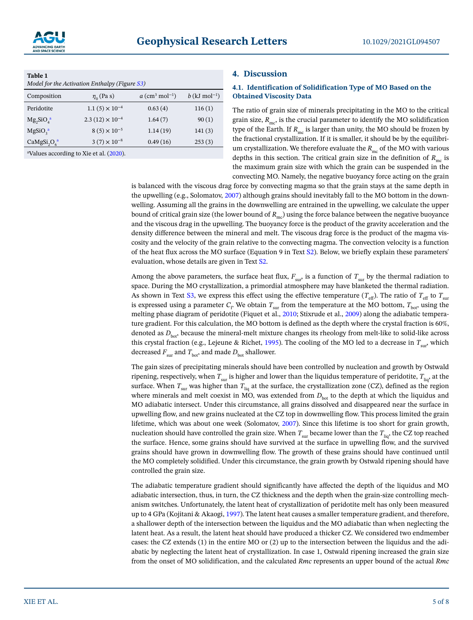![](_page_4_Picture_2.jpeg)

<span id="page-4-0"></span>

| Table 1<br>Model for the Activation Enthalpy (Figure $S3$ ) |                          |                                     |                             |
|-------------------------------------------------------------|--------------------------|-------------------------------------|-----------------------------|
| Composition                                                 | $\eta_0$ (Pa s)          | $a \text{ (cm}^3 \text{ mol}^{-1})$ | $b$ (kJ mol <sup>-1</sup> ) |
| Peridotite                                                  | $1.1(5) \times 10^{-4}$  | 0.63(4)                             | 116(1)                      |
| $Mg_2SiO_4^a$                                               | $2.3(12) \times 10^{-4}$ | 1.64(7)                             | 90(1)                       |
| MgSiO <sub>2</sub> <sup>a</sup>                             | $8(5) \times 10^{-5}$    | 1.14(19)                            | 141(3)                      |
| $CaMgSi2O6a$                                                | $3(7) \times 10^{-8}$    | 0.49(16)                            | 253(3)                      |
| <sup>a</sup> Values according to Xie et al. (2020).         |                          |                                     |                             |

#### **4. Discussion**

#### **4.1. Identification of Solidification Type of MO Based on the Obtained Viscosity Data**

The ratio of grain size of minerals precipitating in the MO to the critical grain size,  $R_{\text{mc}}$ , is the crucial parameter to identify the MO solidification type of the Earth. If  $R_{mg}$  is larger than unity, the MO should be frozen by the fractional crystallization. If it is smaller, it should be by the equilibrium crystallization. We therefore evaluate the  $R_{\text{mc}}$  of the MO with various depths in this section. The critical grain size in the definition of  $R_{\text{mc}}$  is the maximum grain size with which the grain can be suspended in the convecting MO. Namely, the negative buoyancy force acting on the grain

is balanced with the viscous drag force by convecting magma so that the grain stays at the same depth in the upwelling (e.g., Solomatov, [2007](#page-7-3)) although grains should inevitably fall to the MO bottom in the downwelling. Assuming all the grains in the downwelling are entrained in the upwelling, we calculate the upper bound of critical grain size (the lower bound of  $R_{m<sub>o</sub>}$ ) using the force balance between the negative buoyance and the viscous drag in the upwelling. The buoyancy force is the product of the gravity acceleration and the density difference between the mineral and melt. The viscous drag force is the product of the magma viscosity and the velocity of the grain relative to the convecting magma. The convection velocity is a function of the heat flux across the MO surface (Equation 9 in Text S2). Below, we briefly explain these parameters' evaluation, whose details are given in Text S2.

Among the above parameters, the surface heat flux,  $F_{\text{sur}}$  is a function of  $T_{\text{sur}}$  by the thermal radiation to space. During the MO crystallization, a primordial atmosphere may have blanketed the thermal radiation. As shown in Text S3, we express this effect using the effective temperature ( $T_{\text{eff}}$ ). The ratio of  $T_{\text{eff}}$  to  $T_{\text{sur}}$ is expressed using a parameter  $C_{\rm r}$  We obtain  $T_{\rm sur}$  from the temperature at the MO bottom,  $T_{\rm bot}$ , using the melting phase diagram of peridotite (Fiquet et al., [2010;](#page-6-8) Stixrude et al., [2009](#page-7-17)) along the adiabatic temperature gradient. For this calculation, the MO bottom is defined as the depth where the crystal fraction is 60%, denoted as  $D_{\text{box}}$ , because the mineral-melt mixture changes its rheology from melt-like to solid-like across this crystal fraction (e.g., Lejeune & Richet, [1995](#page-7-18)). The cooling of the MO led to a decrease in *T*sur, which decreased  $F_{\text{sur}}$  and  $T_{\text{bot}}$ , and made  $D_{\text{bot}}$  shallower.

The gain sizes of precipitating minerals should have been controlled by nucleation and growth by Ostwald ripening, respectively, when  $T_{\text{sur}}$  is higher and lower than the liquidus temperature of peridotite,  $T_{\text{liq}}$ , at the surface. When  $T_{\text{sur}}$  was higher than  $T_{\text{liq}}$  at the surface, the crystallization zone (CZ), defined as the region where minerals and melt coexist in MO, was extended from  $D_{\text{bot}}$  to the depth at which the liquidus and MO adiabatic intersect. Under this circumstance, all grains dissolved and disappeared near the surface in upwelling flow, and new grains nucleated at the CZ top in downwelling flow. This process limited the grain lifetime, which was about one week (Solomatov, [2007](#page-7-3)). Since this lifetime is too short for grain growth, nucleation should have controlled the grain size. When  $T_{\text{sur}}$  became lower than the  $T_{\text{liq}}$ , the CZ top reached the surface. Hence, some grains should have survived at the surface in upwelling flow, and the survived grains should have grown in downwelling flow. The growth of these grains should have continued until the MO completely solidified. Under this circumstance, the grain growth by Ostwald ripening should have controlled the grain size.

The adiabatic temperature gradient should significantly have affected the depth of the liquidus and MO adiabatic intersection, thus, in turn, the CZ thickness and the depth when the grain-size controlling mechanism switches. Unfortunately, the latent heat of crystallization of peridotite melt has only been measured up to 4 GPa (Kojitani & Akaogi, [1997](#page-7-19)). The latent heat causes a smaller temperature gradient, and therefore, a shallower depth of the intersection between the liquidus and the MO adiabatic than when neglecting the latent heat. As a result, the latent heat should have produced a thicker CZ. We considered two endmember cases: the CZ extends (1) in the entire MO or (2) up to the intersection between the liquidus and the adiabatic by neglecting the latent heat of crystallization. In case 1, Ostwald ripening increased the grain size from the onset of MO solidification, and the calculated *Rmc* represents an upper bound of the actual *Rmc*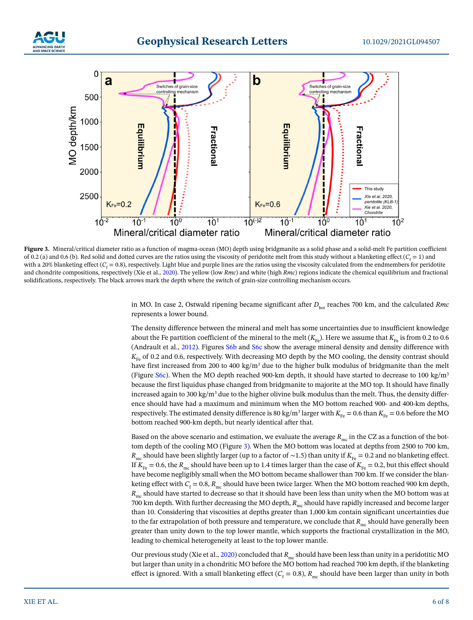![](_page_5_Picture_0.jpeg)

## **Geophysical Research Letters**

![](_page_5_Figure_3.jpeg)

<span id="page-5-0"></span>**Figure 3.** Mineral/critical diameter ratio as a function of magma-ocean (MO) depth using bridgmanite as a solid phase and a solid-melt Fe partition coefficient of 0.2 (a) and 0.6 (b). Red solid and dotted curves are the ratios using the viscosity of peridotite melt from this study without a blanketing effect ( $C_{\rm f}=1$ ) and with a 20% blanketing effect (C<sub>f</sub> = 0.8), respectively. Light blue and purple lines are the ratios using the viscosity calculated from the endmembers for peridotite and chondrite compositions, respectively (Xie et al., [2020](#page-7-6)). The yellow (low *Rmc*) and white (high *Rmc*) regions indicate the chemical equilibrium and fractional solidifications, respectively. The black arrows mark the depth where the switch of grain-size controlling mechanism occurs.

in MO. In case 2, Ostwald ripening became significant after  $D_{\text{bot}}$  reaches 700 km, and the calculated *Rmc* represents a lower bound.

The density difference between the mineral and melt has some uncertainties due to insufficient knowledge about the Fe partition coefficient of the mineral to the melt  $(K_{F_P})$ . Here we assume that  $K_{F_P}$  is from 0.2 to 0.6 (Andrault et al., [2012](#page-6-9)). Figures S6b and S6c show the average mineral density and density difference with  $K_{F_P}$  of 0.2 and 0.6, respectively. With decreasing MO depth by the MO cooling, the density contrast should have first increased from 200 to 400 kg/m<sup>3</sup> due to the higher bulk modulus of bridgmanite than the melt (Figure S6c). When the MO depth reached 900-km depth, it should have started to decrease to 100 kg/m<sup>3</sup> because the first liquidus phase changed from bridgmanite to majorite at the MO top. It should have finally increased again to 300 kg/m<sup>3</sup> due to the higher olivine bulk modulus than the melt. Thus, the density difference should have had a maximum and minimum when the MO bottom reached 900- and 400-km depths, respectively. The estimated density difference is 80 kg/m<sup>3</sup> larger with  $K_{Fe} = 0.6$  than  $K_{Fe} = 0.6$  before the MO bottom reached 900-km depth, but nearly identical after that.

Based on the above scenario and estimation, we evaluate the average  $R<sub>mc</sub>$  in the CZ as a function of the bottom depth of the cooling MO (Figure [3](#page-5-0)). When the MO bottom was located at depths from 2500 to 700 km, *R*<sub>mc</sub> should have been slightly larger (up to a factor of ∼1.5) than unity if  $K_{F_e} = 0.2$  and no blanketing effect. If  $K_{Fe} = 0.6$ , the  $R_{me}$  should have been up to 1.4 times larger than the case of  $K_{Fe} = 0.2$ , but this effect should have become negligibly small when the MO bottom became shallower than 700 km. If we consider the blanketing effect with  $C_{\rm f}$  = 0.8,  $R_{\rm mc}$  should have been twice larger. When the MO bottom reached 900 km depth, *R*<sub>mc</sub> should have started to decrease so that it should have been less than unity when the MO bottom was at 700 km depth. With further decreasing the MO depth,  $R_{\text{mc}}$  should have rapidly increased and become larger than 10. Considering that viscosities at depths greater than 1,000 km contain significant uncertainties due to the far extrapolation of both pressure and temperature, we conclude that  $R_{\text{mc}}$  should have generally been greater than unity down to the top lower mantle, which supports the fractional crystallization in the MO, leading to chemical heterogeneity at least to the top lower mantle.

Our previous study (Xie et al., [2020\)](#page-7-6) concluded that  $R_{\text{mc}}$  should have been less than unity in a peridotitic MO but larger than unity in a chondritic MO before the MO bottom had reached 700 km depth, if the blanketing effect is ignored. With a small blanketing effect ( $C_{\rm f}$  = 0.8),  $R_{\rm mc}$  should have been larger than unity in both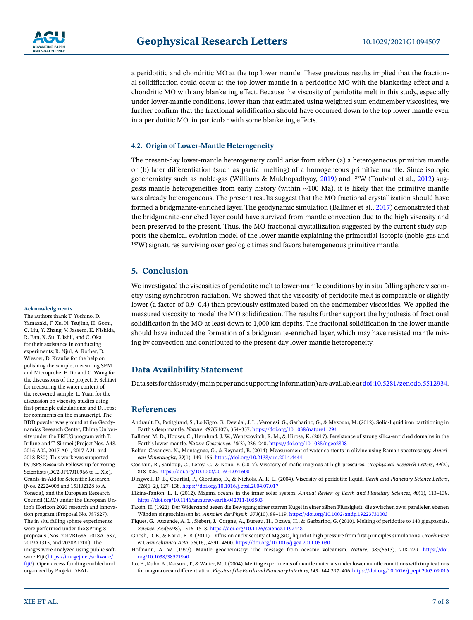![](_page_6_Picture_0.jpeg)

a peridotitic and chondritic MO at the top lower mantle. These previous results implied that the fractional solidification could occur at the top lower mantle in a peridotitic MO with the blanketing effect and a chondritic MO with any blanketing effect. Because the viscosity of peridotite melt in this study, especially under lower-mantle conditions, lower than that estimated using weighted sum endmember viscosities, we further confirm that the fractional solidification should have occurred down to the top lower mantle even in a peridotitic MO, in particular with some blanketing effects.

#### **4.2. Origin of Lower-Mantle Heterogeneity**

The present-day lower-mantle heterogeneity could arise from either (a) a heterogeneous primitive mantle or (b) later differentiation (such as partial melting) of a homogeneous primitive mantle. Since isotopic geochemistry such as noble-gas (Williams & Mukhopadhyay, [2019\)](#page-7-20) and 182W (Touboul et al., [2012\)](#page-7-21) suggests mantle heterogeneities from early history (within ~100 Ma), it is likely that the primitive mantle was already heterogeneous. The present results suggest that the MO fractional crystallization should have formed a bridgmanite-enriched layer. The geodynamic simulation (Ballmer et al., [2017\)](#page-6-10) demonstrated that the bridgmanite-enriched layer could have survived from mantle convection due to the high viscosity and been preserved to the present. Thus, the MO fractional crystallization suggested by the current study supports the chemical evolution model of the lower mantle explaining the primordial isotopic (noble-gas and <sup>182</sup>W) signatures surviving over geologic times and favors heterogeneous primitive mantle.

#### **5. Conclusion**

We investigated the viscosities of peridotite melt to lower-mantle conditions by in situ falling sphere viscometry using synchrotron radiation. We showed that the viscosity of peridotite melt is comparable or slightly lower (a factor of 0.9–0.4) than previously estimated based on the endmember viscosities. We applied the measured viscosity to model the MO solidification. The results further support the hypothesis of fractional solidification in the MO at least down to 1,000 km depths. The fractional solidification in the lower mantle should have induced the formation of a bridgmanite-enriched layer, which may have resisted mantle mixing by convection and contributed to the present-day lower-mantle heterogeneity.

#### **Data Availability Statement**

Data sets for this study (main paper and supporting information) are available at [doi:10.5281/zenodo.5512934](https://doi.org/10.5281/zenodo.5512934).

#### **References**

- <span id="page-6-9"></span>Andrault, D., Petitgirard, S., Lo Nigro, G., Devidal, J. L., Veronesi, G., Garbarino, G., & Mezouar, M. (2012). Solid-liquid iron partitioning in Earth's deep mantle. *Nature*, *487*(7407), 354–357. <https://doi.org/10.1038/nature11294>
- <span id="page-6-10"></span>Ballmer, M. D., Houser, C., Hernlund, J. W., Wentzcovitch, R. M., & Hirose, K. (2017). Persistence of strong silica-enriched domains in the Earth's lower mantle. *Nature Geoscience*, *10*(3), 236–240. <https://doi.org/10.1038/ngeo2898>
- <span id="page-6-5"></span>Bolfan-Casanova, N., Montagnac, G., & Reynard, B. (2014). Measurement of water contents in olivine using Raman spectroscopy. *American Mineralogist*, *99*(1), 149–156. <https://doi.org/10.2138/am.2014.4444>
- <span id="page-6-4"></span>Cochain, B., Sanloup, C., Leroy, C., & Kono, Y. (2017). Viscosity of mafic magmas at high pressures. *Geophysical Research Letters*, *44*(2), 818–826. <https://doi.org/10.1002/2016GL071600>
- <span id="page-6-3"></span>Dingwell, D. B., Courtial, P., Giordano, D., & Nichols, A. R. L. (2004). Viscosity of peridotite liquid. *Earth and Planetary Science Letters*, *226*(1–2), 127–138. <https://doi.org/10.1016/j.epsl.2004.07.017>
- <span id="page-6-0"></span>Elkins-Tanton, L. T. (2012). Magma oceans in the inner solar system. *Annual Review of Earth and Planetary Sciences*, *40*(1), 113–139. <https://doi.org/10.1146/annurev-earth-042711-105503>
- <span id="page-6-6"></span>Faxén, H. (1922). Der Widerstand gegen die Bewegung einer starren Kugel in einer zähen Flüssigkeit, die zwischen zwei parallelen ebenen Wänden eingeschlossen ist. *Annalen der Physik*, *373*(10), 89–119.<https://doi.org/10.1002/andp.19223731003>
- <span id="page-6-8"></span>Fiquet, G., Auzende, A. L., Siebert, J., Corgne, A., Bureau, H., Ozawa, H., & Garbarino, G. (2010). Melting of peridotite to 140 gigapascals. *Science*, *329*(5998), 1516–1518.<https://doi.org/10.1126/science.1192448>
- <span id="page-6-7"></span>Ghosh, D. B., & Karki, B. B. (2011). Diffusion and viscosity of Mg<sub>2</sub>SiO<sub>4</sub> liquid at high pressure from first-principles simulations. *Geochimica et Cosmochimica Acta*, *75*(16), 4591–4600.<https://doi.org/10.1016/j.gca.2011.05.030>
- <span id="page-6-1"></span>Hofmann, A. W. (1997). Mantle geochemistry: The message from oceanic volcanism. *Nature*, *385*(6613), 218–229. [https://doi.](https://doi.org/10.1038/385219a0) [org/10.1038/385219a0](https://doi.org/10.1038/385219a0)
- <span id="page-6-2"></span>Ito, E., Kubo, A., Katsura, T., & Walter, M. J. (2004). Melting experiments of mantle materials under lower mantle conditions with implications for magma ocean differentiation. *Physics of the Earth and Planetary Interiors*, *143–144*, 397–406.<https://doi.org/10.1016/j.pepi.2003.09.016>

#### **Acknowledgments**

The authors thank T. Yoshino, D. Yamazaki, F. Xu, N. Tsujino, H. Gomi, C. Liu, Y. Zhang, V. Jaseem, K. Nishida, R. Ban, X. Su, T. Ishii, and C. Oka for their assistance in conducting experiments; R. Njul, A. Rother, D. Wiesner, D. Krauße for the help on polishing the sample, measuring SEM and Microprobe; E. Ito and C. Wang for the discussions of the project; F. Schiavi for measuring the water content of the recovered sample; L. Yuan for the discussion on viscosity studies using first-principle calculations; and D. Frost for comments on the manuscript. The BDD powder was ground at the Geodynamics Research Center, Ehime University under the PRIUS program with T. Irifune and T. Sinmei (Project Nos. A48, 2016-A02, 2017-A01, 2017-A21, and 2018-B30). This work was supported by JSPS Research Fellowship for Young Scientists (DC2-JP17J10966 to L. Xie), Grants-in-Aid for Scientific Research (Nos. 22224008 and 15H02128 to A. Yoneda), and the European Research Council (ERC) under the European Union's Horizon 2020 research and innovation program (Proposal No. 787527). The in situ falling sphere experiments were performed under the SPring-8 proposals (Nos. 2017B1686, 2018A1637, 2019A1315, and 2020A1201). The images were analyzed using public software Fiji (https://imagej.net/software/ fiji/). Open access funding enabled and organized by Projekt DEAL.